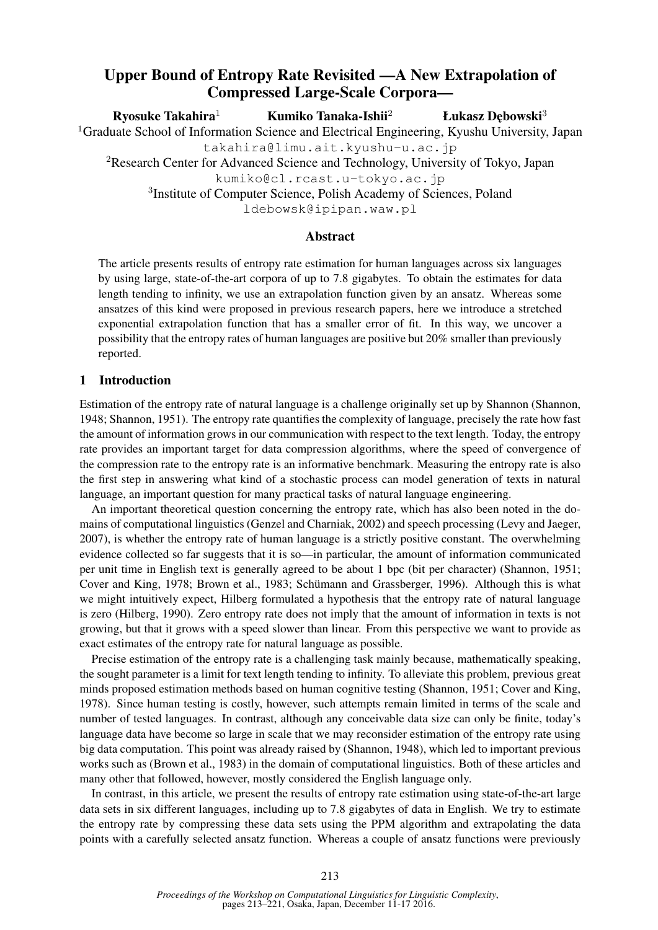# Upper Bound of Entropy Rate Revisited —A New Extrapolation of Compressed Large-Scale Corpora—

Ryosuke Takahira<sup>1</sup> Kumiko Tanaka-Ishii<sup>2</sup> <sup>1</sup>Graduate School of Information Science and Electrical Engineering, Kyushu University, Japan takahira@limu.ait.kyushu-u.ac.jp <sup>2</sup>Research Center for Advanced Science and Technology, University of Tokyo, Japan Łukasz Debowski<sup>3</sup>

kumiko@cl.rcast.u-tokyo.ac.jp

<sup>3</sup>Institute of Computer Science, Polish Academy of Sciences, Poland

ldebowsk@ipipan.waw.pl

# Abstract

The article presents results of entropy rate estimation for human languages across six languages by using large, state-of-the-art corpora of up to 7.8 gigabytes. To obtain the estimates for data length tending to infinity, we use an extrapolation function given by an ansatz. Whereas some ansatzes of this kind were proposed in previous research papers, here we introduce a stretched exponential extrapolation function that has a smaller error of fit. In this way, we uncover a possibility that the entropy rates of human languages are positive but 20% smaller than previously reported.

# 1 Introduction

Estimation of the entropy rate of natural language is a challenge originally set up by Shannon (Shannon, 1948; Shannon, 1951). The entropy rate quantifies the complexity of language, precisely the rate how fast the amount of information grows in our communication with respect to the text length. Today, the entropy rate provides an important target for data compression algorithms, where the speed of convergence of the compression rate to the entropy rate is an informative benchmark. Measuring the entropy rate is also the first step in answering what kind of a stochastic process can model generation of texts in natural language, an important question for many practical tasks of natural language engineering.

An important theoretical question concerning the entropy rate, which has also been noted in the domains of computational linguistics (Genzel and Charniak, 2002) and speech processing (Levy and Jaeger, 2007), is whether the entropy rate of human language is a strictly positive constant. The overwhelming evidence collected so far suggests that it is so—in particular, the amount of information communicated per unit time in English text is generally agreed to be about 1 bpc (bit per character) (Shannon, 1951; Cover and King, 1978; Brown et al., 1983; Schümann and Grassberger, 1996). Although this is what we might intuitively expect, Hilberg formulated a hypothesis that the entropy rate of natural language is zero (Hilberg, 1990). Zero entropy rate does not imply that the amount of information in texts is not growing, but that it grows with a speed slower than linear. From this perspective we want to provide as exact estimates of the entropy rate for natural language as possible.

Precise estimation of the entropy rate is a challenging task mainly because, mathematically speaking, the sought parameter is a limit for text length tending to infinity. To alleviate this problem, previous great minds proposed estimation methods based on human cognitive testing (Shannon, 1951; Cover and King, 1978). Since human testing is costly, however, such attempts remain limited in terms of the scale and number of tested languages. In contrast, although any conceivable data size can only be finite, today's language data have become so large in scale that we may reconsider estimation of the entropy rate using big data computation. This point was already raised by (Shannon, 1948), which led to important previous works such as (Brown et al., 1983) in the domain of computational linguistics. Both of these articles and many other that followed, however, mostly considered the English language only.

In contrast, in this article, we present the results of entropy rate estimation using state-of-the-art large data sets in six different languages, including up to 7.8 gigabytes of data in English. We try to estimate the entropy rate by compressing these data sets using the PPM algorithm and extrapolating the data points with a carefully selected ansatz function. Whereas a couple of ansatz functions were previously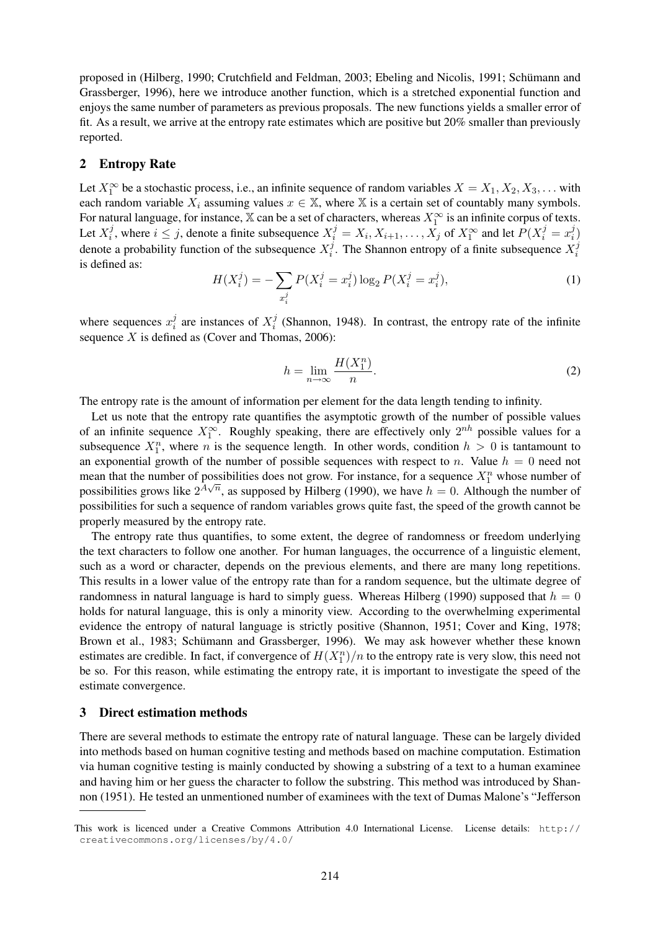proposed in (Hilberg, 1990; Crutchfield and Feldman, 2003; Ebeling and Nicolis, 1991; Schümann and Grassberger, 1996), here we introduce another function, which is a stretched exponential function and enjoys the same number of parameters as previous proposals. The new functions yields a smaller error of fit. As a result, we arrive at the entropy rate estimates which are positive but 20% smaller than previously reported.

# 2 Entropy Rate

Let  $X_1^{\infty}$  be a stochastic process, i.e., an infinite sequence of random variables  $X = X_1, X_2, X_3, \dots$  with each random variable  $X_i$  assuming values  $x \in \mathbb{X}$ , where  $\mathbb X$  is a certain set of countably many symbols. For natural language, for instance,  $X$  can be a set of characters, whereas  $X_1^{\infty}$  is an infinite corpus of texts. Let  $X_i^j$  $i$ , where  $i \leq j$ , denote a finite subsequence  $X_i^j = X_i, X_{i+1}, \ldots, X_j$  of  $X_1^{\infty}$  and let  $P(X_i^j = x_i^j)$  $\binom{j}{i}$ denote a probability function of the subsequence  $X_i^j$  $i$ . The Shannon entropy of a finite subsequence  $X_i^j$ i is defined as:

$$
H(X_i^j) = -\sum_{x_i^j} P(X_i^j = x_i^j) \log_2 P(X_i^j = x_i^j),\tag{1}
$$

where sequences  $x_i^j$  $i$  are instances of  $X_i^j$  $i<sub>i</sub>$  (Shannon, 1948). In contrast, the entropy rate of the infinite sequence  $X$  is defined as (Cover and Thomas, 2006):

$$
h = \lim_{n \to \infty} \frac{H(X_1^n)}{n}.
$$
 (2)

The entropy rate is the amount of information per element for the data length tending to infinity.

Let us note that the entropy rate quantifies the asymptotic growth of the number of possible values of an infinite sequence  $X_1^{\infty}$ . Roughly speaking, there are effectively only  $2^{nh}$  possible values for a subsequence  $X_1^n$ , where n is the sequence length. In other words, condition  $h > 0$  is tantamount to an exponential growth of the number of possible sequences with respect to n. Value  $h = 0$  need not mean that the number of possibilities does not grow. For instance, for a sequence  $X_1^n$  whose number of possibilities grows like  $2^{\frac{1}{A\sqrt{n}}}$ , as supposed by Hilberg (1990), we have  $h = 0$ . Although the number of possibilities for such a sequence of random variables grows quite fast, the speed of the growth cannot be properly measured by the entropy rate.

The entropy rate thus quantifies, to some extent, the degree of randomness or freedom underlying the text characters to follow one another. For human languages, the occurrence of a linguistic element, such as a word or character, depends on the previous elements, and there are many long repetitions. This results in a lower value of the entropy rate than for a random sequence, but the ultimate degree of randomness in natural language is hard to simply guess. Whereas Hilberg (1990) supposed that  $h = 0$ holds for natural language, this is only a minority view. According to the overwhelming experimental evidence the entropy of natural language is strictly positive (Shannon, 1951; Cover and King, 1978; Brown et al., 1983; Schümann and Grassberger, 1996). We may ask however whether these known estimates are credible. In fact, if convergence of  $H(X_1^n)/n$  to the entropy rate is very slow, this need not be so. For this reason, while estimating the entropy rate, it is important to investigate the speed of the estimate convergence.

## 3 Direct estimation methods

There are several methods to estimate the entropy rate of natural language. These can be largely divided into methods based on human cognitive testing and methods based on machine computation. Estimation via human cognitive testing is mainly conducted by showing a substring of a text to a human examinee and having him or her guess the character to follow the substring. This method was introduced by Shannon (1951). He tested an unmentioned number of examinees with the text of Dumas Malone's "Jefferson

This work is licenced under a Creative Commons Attribution 4.0 International License. License details: http:// creativecommons.org/licenses/by/4.0/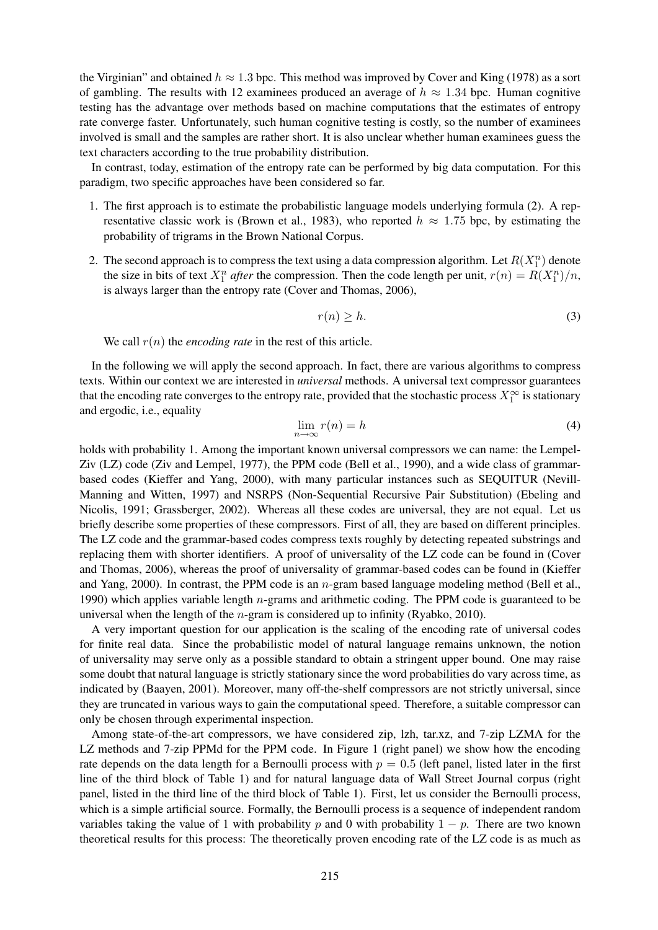the Virginian" and obtained  $h \approx 1.3$  bpc. This method was improved by Cover and King (1978) as a sort of gambling. The results with 12 examinees produced an average of  $h \approx 1.34$  bpc. Human cognitive testing has the advantage over methods based on machine computations that the estimates of entropy rate converge faster. Unfortunately, such human cognitive testing is costly, so the number of examinees involved is small and the samples are rather short. It is also unclear whether human examinees guess the text characters according to the true probability distribution.

In contrast, today, estimation of the entropy rate can be performed by big data computation. For this paradigm, two specific approaches have been considered so far.

- 1. The first approach is to estimate the probabilistic language models underlying formula (2). A representative classic work is (Brown et al., 1983), who reported  $h \approx 1.75$  bpc, by estimating the probability of trigrams in the Brown National Corpus.
- 2. The second approach is to compress the text using a data compression algorithm. Let  $R(X_1^n)$  denote the size in bits of text  $X_1^n$  *after* the compression. Then the code length per unit,  $r(n) = R(X_1^n)/n$ , is always larger than the entropy rate (Cover and Thomas, 2006),

$$
r(n) \ge h. \tag{3}
$$

We call  $r(n)$  the *encoding rate* in the rest of this article.

In the following we will apply the second approach. In fact, there are various algorithms to compress texts. Within our context we are interested in *universal* methods. A universal text compressor guarantees that the encoding rate converges to the entropy rate, provided that the stochastic process  $X_1^{\infty}$  is stationary and ergodic, i.e., equality

$$
\lim_{n \to \infty} r(n) = h \tag{4}
$$

holds with probability 1. Among the important known universal compressors we can name: the Lempel-Ziv (LZ) code (Ziv and Lempel, 1977), the PPM code (Bell et al., 1990), and a wide class of grammarbased codes (Kieffer and Yang, 2000), with many particular instances such as SEQUITUR (Nevill-Manning and Witten, 1997) and NSRPS (Non-Sequential Recursive Pair Substitution) (Ebeling and Nicolis, 1991; Grassberger, 2002). Whereas all these codes are universal, they are not equal. Let us briefly describe some properties of these compressors. First of all, they are based on different principles. The LZ code and the grammar-based codes compress texts roughly by detecting repeated substrings and replacing them with shorter identifiers. A proof of universality of the LZ code can be found in (Cover and Thomas, 2006), whereas the proof of universality of grammar-based codes can be found in (Kieffer and Yang, 2000). In contrast, the PPM code is an  $n$ -gram based language modeling method (Bell et al., 1990) which applies variable length  $n$ -grams and arithmetic coding. The PPM code is guaranteed to be universal when the length of the  $n$ -gram is considered up to infinity (Ryabko, 2010).

A very important question for our application is the scaling of the encoding rate of universal codes for finite real data. Since the probabilistic model of natural language remains unknown, the notion of universality may serve only as a possible standard to obtain a stringent upper bound. One may raise some doubt that natural language is strictly stationary since the word probabilities do vary across time, as indicated by (Baayen, 2001). Moreover, many off-the-shelf compressors are not strictly universal, since they are truncated in various ways to gain the computational speed. Therefore, a suitable compressor can only be chosen through experimental inspection.

Among state-of-the-art compressors, we have considered zip, lzh, tar.xz, and 7-zip LZMA for the LZ methods and 7-zip PPMd for the PPM code. In Figure 1 (right panel) we show how the encoding rate depends on the data length for a Bernoulli process with  $p = 0.5$  (left panel, listed later in the first line of the third block of Table 1) and for natural language data of Wall Street Journal corpus (right panel, listed in the third line of the third block of Table 1). First, let us consider the Bernoulli process, which is a simple artificial source. Formally, the Bernoulli process is a sequence of independent random variables taking the value of 1 with probability p and 0 with probability  $1 - p$ . There are two known theoretical results for this process: The theoretically proven encoding rate of the LZ code is as much as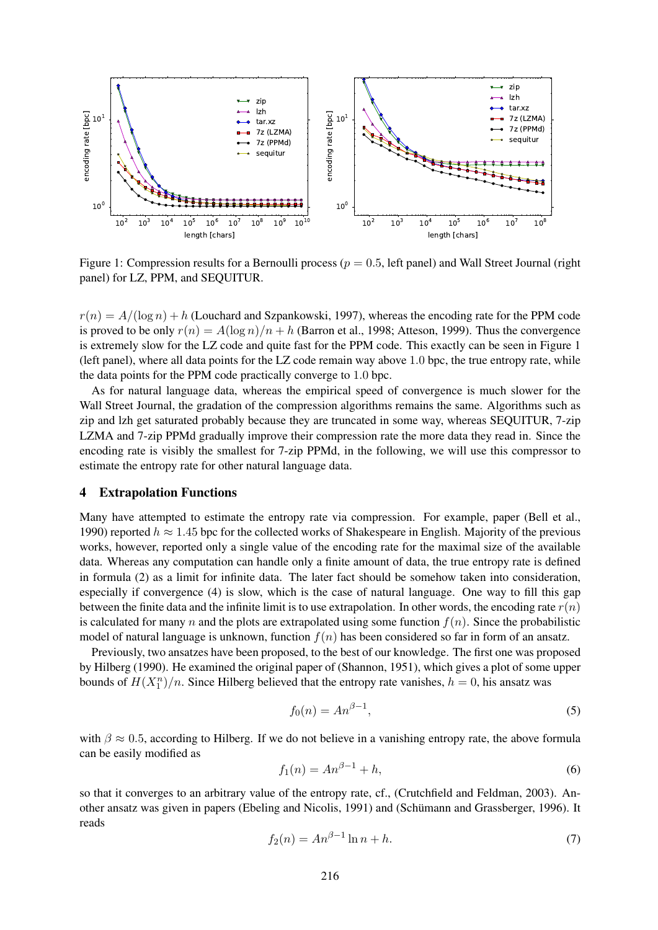

Figure 1: Compression results for a Bernoulli process ( $p = 0.5$ , left panel) and Wall Street Journal (right panel) for LZ, PPM, and SEQUITUR.

 $r(n) = A/(\log n) + h$  (Louchard and Szpankowski, 1997), whereas the encoding rate for the PPM code is proved to be only  $r(n) = A(\log n)/n + h$  (Barron et al., 1998; Atteson, 1999). Thus the convergence is extremely slow for the LZ code and quite fast for the PPM code. This exactly can be seen in Figure 1 (left panel), where all data points for the LZ code remain way above 1.0 bpc, the true entropy rate, while the data points for the PPM code practically converge to 1.0 bpc.

As for natural language data, whereas the empirical speed of convergence is much slower for the Wall Street Journal, the gradation of the compression algorithms remains the same. Algorithms such as zip and lzh get saturated probably because they are truncated in some way, whereas SEQUITUR, 7-zip LZMA and 7-zip PPMd gradually improve their compression rate the more data they read in. Since the encoding rate is visibly the smallest for 7-zip PPMd, in the following, we will use this compressor to estimate the entropy rate for other natural language data.

#### 4 Extrapolation Functions

Many have attempted to estimate the entropy rate via compression. For example, paper (Bell et al., 1990) reported  $h \approx 1.45$  bpc for the collected works of Shakespeare in English. Majority of the previous works, however, reported only a single value of the encoding rate for the maximal size of the available data. Whereas any computation can handle only a finite amount of data, the true entropy rate is defined in formula (2) as a limit for infinite data. The later fact should be somehow taken into consideration, especially if convergence (4) is slow, which is the case of natural language. One way to fill this gap between the finite data and the infinite limit is to use extrapolation. In other words, the encoding rate  $r(n)$ is calculated for many n and the plots are extrapolated using some function  $f(n)$ . Since the probabilistic model of natural language is unknown, function  $f(n)$  has been considered so far in form of an ansatz.

Previously, two ansatzes have been proposed, to the best of our knowledge. The first one was proposed by Hilberg (1990). He examined the original paper of (Shannon, 1951), which gives a plot of some upper bounds of  $H(X_1^n)/n$ . Since Hilberg believed that the entropy rate vanishes,  $h = 0$ , his ansatz was

$$
f_0(n) = An^{\beta - 1},\tag{5}
$$

with  $\beta \approx 0.5$ , according to Hilberg. If we do not believe in a vanishing entropy rate, the above formula can be easily modified as

$$
f_1(n) = An^{\beta - 1} + h,\tag{6}
$$

so that it converges to an arbitrary value of the entropy rate, cf., (Crutchfield and Feldman, 2003). Another ansatz was given in papers (Ebeling and Nicolis, 1991) and (Schümann and Grassberger, 1996). It reads

$$
f_2(n) = An^{\beta - 1} \ln n + h. \tag{7}
$$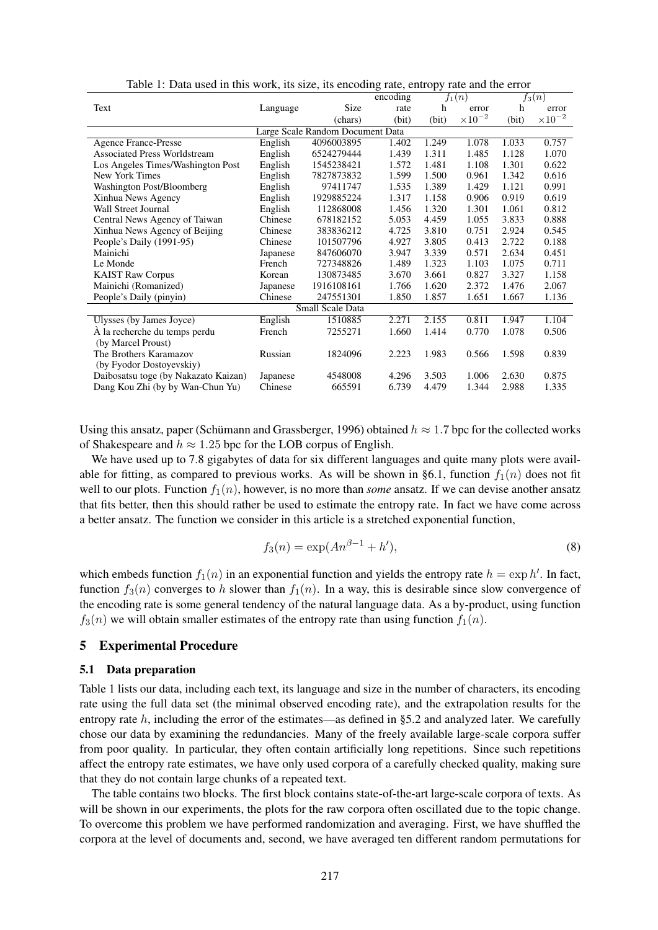|                                      |          |            | encoding | $f_1(n)$ |                  | $f_3(n)$ |                  |
|--------------------------------------|----------|------------|----------|----------|------------------|----------|------------------|
| Text                                 | Language | Size       | rate     | h        | error            | h        | error            |
|                                      |          | (chars)    | (bit)    | (bit)    | $\times 10^{-2}$ | (bit)    | $\times 10^{-2}$ |
| Large Scale Random Document Data     |          |            |          |          |                  |          |                  |
| <b>Agence France-Presse</b>          | English  | 4096003895 | 1.402    | 1.249    | 1.078            | 1.033    | 0.757            |
| Associated Press Worldstream         | English  | 6524279444 | 1.439    | 1.311    | 1.485            | 1.128    | 1.070            |
| Los Angeles Times/Washington Post    | English  | 1545238421 | 1.572    | 1.481    | 1.108            | 1.301    | 0.622            |
| New York Times                       | English  | 7827873832 | 1.599    | 1.500    | 0.961            | 1.342    | 0.616            |
| Washington Post/Bloomberg            | English  | 97411747   | 1.535    | 1.389    | 1.429            | 1.121    | 0.991            |
| Xinhua News Agency                   | English  | 1929885224 | 1.317    | 1.158    | 0.906            | 0.919    | 0.619            |
| Wall Street Journal                  | English  | 112868008  | 1.456    | 1.320    | 1.301            | 1.061    | 0.812            |
| Central News Agency of Taiwan        | Chinese  | 678182152  | 5.053    | 4.459    | 1.055            | 3.833    | 0.888            |
| Xinhua News Agency of Beijing        | Chinese  | 383836212  | 4.725    | 3.810    | 0.751            | 2.924    | 0.545            |
| People's Daily (1991-95)             | Chinese  | 101507796  | 4.927    | 3.805    | 0.413            | 2.722    | 0.188            |
| Mainichi                             | Japanese | 847606070  | 3.947    | 3.339    | 0.571            | 2.634    | 0.451            |
| Le Monde                             | French   | 727348826  | 1.489    | 1.323    | 1.103            | 1.075    | 0.711            |
| <b>KAIST Raw Corpus</b>              | Korean   | 130873485  | 3.670    | 3.661    | 0.827            | 3.327    | 1.158            |
| Mainichi (Romanized)                 | Japanese | 1916108161 | 1.766    | 1.620    | 2.372            | 1.476    | 2.067            |
| People's Daily (pinyin)              | Chinese  | 247551301  | 1.850    | 1.857    | 1.651            | 1.667    | 1.136            |
| Small Scale Data                     |          |            |          |          |                  |          |                  |
| Ulysses (by James Joyce)             | English  | 1510885    | 2.271    | 2.155    | 0.811            | 1.947    | 1.104            |
| À la recherche du temps perdu        | French   | 7255271    | 1.660    | 1.414    | 0.770            | 1.078    | 0.506            |
| (by Marcel Proust)                   |          |            |          |          |                  |          |                  |
| The Brothers Karamazov               | Russian  | 1824096    | 2.223    | 1.983    | 0.566            | 1.598    | 0.839            |
| (by Fyodor Dostoyevskiy)             |          |            |          |          |                  |          |                  |
| Daibosatsu toge (by Nakazato Kaizan) | Japanese | 4548008    | 4.296    | 3.503    | 1.006            | 2.630    | 0.875            |
| Dang Kou Zhi (by by Wan-Chun Yu)     | Chinese  | 665591     | 6.739    | 4.479    | 1.344            | 2.988    | 1.335            |

Table 1: Data used in this work, its size, its encoding rate, entropy rate and the error

Using this ansatz, paper (Schümann and Grassberger, 1996) obtained  $h \approx 1.7$  bpc for the collected works of Shakespeare and  $h \approx 1.25$  bpc for the LOB corpus of English.

We have used up to 7.8 gigabytes of data for six different languages and quite many plots were available for fitting, as compared to previous works. As will be shown in §6.1, function  $f_1(n)$  does not fit well to our plots. Function  $f_1(n)$ , however, is no more than *some* ansatz. If we can devise another ansatz that fits better, then this should rather be used to estimate the entropy rate. In fact we have come across a better ansatz. The function we consider in this article is a stretched exponential function,

$$
f_3(n) = \exp(An^{\beta - 1} + h'),
$$
\n(8)

which embeds function  $f_1(n)$  in an exponential function and yields the entropy rate  $h = \exp h'$ . In fact, function  $f_3(n)$  converges to h slower than  $f_1(n)$ . In a way, this is desirable since slow convergence of the encoding rate is some general tendency of the natural language data. As a by-product, using function  $f_3(n)$  we will obtain smaller estimates of the entropy rate than using function  $f_1(n)$ .

# 5 Experimental Procedure

#### 5.1 Data preparation

Table 1 lists our data, including each text, its language and size in the number of characters, its encoding rate using the full data set (the minimal observed encoding rate), and the extrapolation results for the entropy rate  $h$ , including the error of the estimates—as defined in §5.2 and analyzed later. We carefully chose our data by examining the redundancies. Many of the freely available large-scale corpora suffer from poor quality. In particular, they often contain artificially long repetitions. Since such repetitions affect the entropy rate estimates, we have only used corpora of a carefully checked quality, making sure that they do not contain large chunks of a repeated text.

The table contains two blocks. The first block contains state-of-the-art large-scale corpora of texts. As will be shown in our experiments, the plots for the raw corpora often oscillated due to the topic change. To overcome this problem we have performed randomization and averaging. First, we have shuffled the corpora at the level of documents and, second, we have averaged ten different random permutations for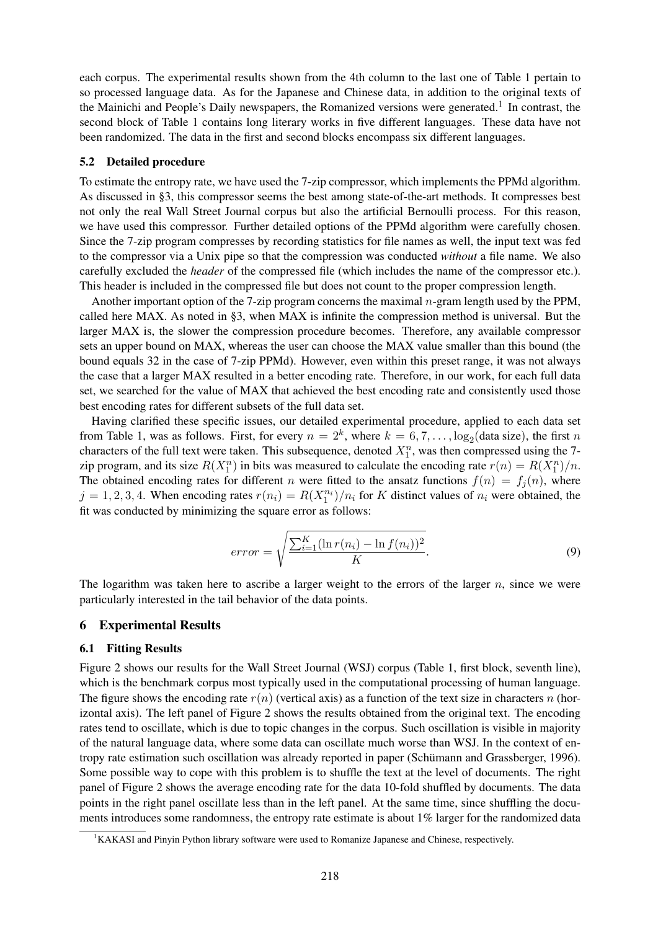each corpus. The experimental results shown from the 4th column to the last one of Table 1 pertain to so processed language data. As for the Japanese and Chinese data, in addition to the original texts of the Mainichi and People's Daily newspapers, the Romanized versions were generated.<sup>1</sup> In contrast, the second block of Table 1 contains long literary works in five different languages. These data have not been randomized. The data in the first and second blocks encompass six different languages.

## 5.2 Detailed procedure

To estimate the entropy rate, we have used the 7-zip compressor, which implements the PPMd algorithm. As discussed in §3, this compressor seems the best among state-of-the-art methods. It compresses best not only the real Wall Street Journal corpus but also the artificial Bernoulli process. For this reason, we have used this compressor. Further detailed options of the PPMd algorithm were carefully chosen. Since the 7-zip program compresses by recording statistics for file names as well, the input text was fed to the compressor via a Unix pipe so that the compression was conducted *without* a file name. We also carefully excluded the *header* of the compressed file (which includes the name of the compressor etc.). This header is included in the compressed file but does not count to the proper compression length.

Another important option of the 7-zip program concerns the maximal  $n$ -gram length used by the PPM, called here MAX. As noted in §3, when MAX is infinite the compression method is universal. But the larger MAX is, the slower the compression procedure becomes. Therefore, any available compressor sets an upper bound on MAX, whereas the user can choose the MAX value smaller than this bound (the bound equals 32 in the case of 7-zip PPMd). However, even within this preset range, it was not always the case that a larger MAX resulted in a better encoding rate. Therefore, in our work, for each full data set, we searched for the value of MAX that achieved the best encoding rate and consistently used those best encoding rates for different subsets of the full data set.

Having clarified these specific issues, our detailed experimental procedure, applied to each data set from Table 1, was as follows. First, for every  $n = 2^k$ , where  $k = 6, 7, \ldots, \log_2(\text{data size})$ , the first n characters of the full text were taken. This subsequence, denoted  $X_1^n$ , was then compressed using the 7zip program, and its size  $R(X_1^n)$  in bits was measured to calculate the encoding rate  $r(n) = R(X_1^n)/n$ . The obtained encoding rates for different n were fitted to the ansatz functions  $f(n) = f<sub>i</sub>(n)$ , where  $j = 1, 2, 3, 4$ . When encoding rates  $r(n_i) = R(X_1^{n_i})/n_i$  for K distinct values of  $n_i$  were obtained, the fit was conducted by minimizing the square error as follows:

$$
error = \sqrt{\frac{\sum_{i=1}^{K} (\ln r(n_i) - \ln f(n_i))^2}{K}}.
$$
\n(9)

The logarithm was taken here to ascribe a larger weight to the errors of the larger  $n$ , since we were particularly interested in the tail behavior of the data points.

## 6 Experimental Results

#### 6.1 Fitting Results

Figure 2 shows our results for the Wall Street Journal (WSJ) corpus (Table 1, first block, seventh line), which is the benchmark corpus most typically used in the computational processing of human language. The figure shows the encoding rate  $r(n)$  (vertical axis) as a function of the text size in characters n (horizontal axis). The left panel of Figure 2 shows the results obtained from the original text. The encoding rates tend to oscillate, which is due to topic changes in the corpus. Such oscillation is visible in majority of the natural language data, where some data can oscillate much worse than WSJ. In the context of entropy rate estimation such oscillation was already reported in paper (Schümann and Grassberger, 1996). Some possible way to cope with this problem is to shuffle the text at the level of documents. The right panel of Figure 2 shows the average encoding rate for the data 10-fold shuffled by documents. The data points in the right panel oscillate less than in the left panel. At the same time, since shuffling the documents introduces some randomness, the entropy rate estimate is about 1% larger for the randomized data

<sup>&</sup>lt;sup>1</sup>KAKASI and Pinyin Python library software were used to Romanize Japanese and Chinese, respectively.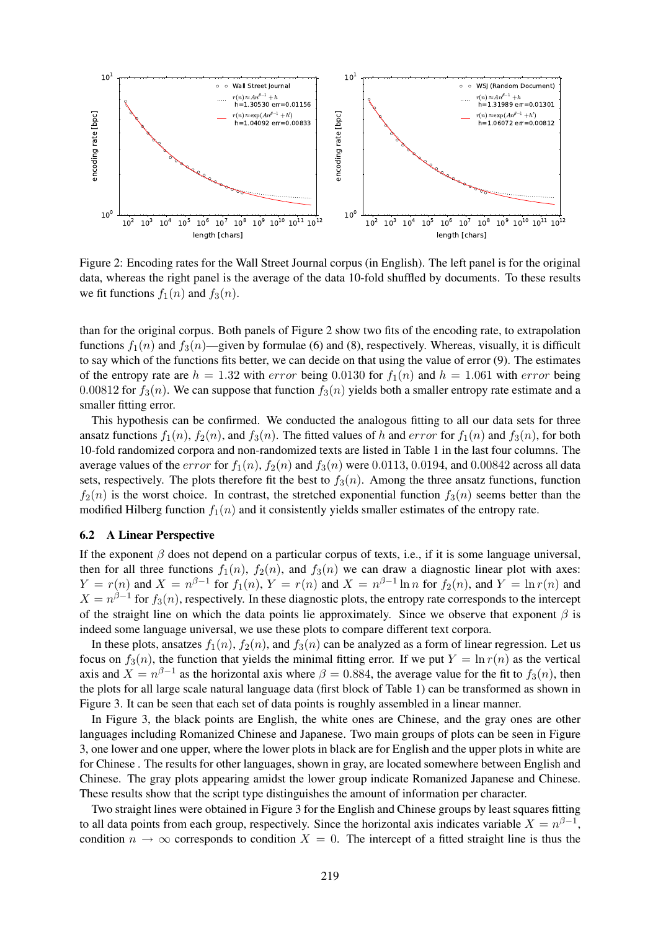

Figure 2: Encoding rates for the Wall Street Journal corpus (in English). The left panel is for the original data, whereas the right panel is the average of the data 10-fold shuffled by documents. To these results we fit functions  $f_1(n)$  and  $f_3(n)$ .

than for the original corpus. Both panels of Figure 2 show two fits of the encoding rate, to extrapolation functions  $f_1(n)$  and  $f_3(n)$ —given by formulae (6) and (8), respectively. Whereas, visually, it is difficult to say which of the functions fits better, we can decide on that using the value of error (9). The estimates of the entropy rate are  $h = 1.32$  with error being 0.0130 for  $f_1(n)$  and  $h = 1.061$  with error being 0.00812 for  $f_3(n)$ . We can suppose that function  $f_3(n)$  yields both a smaller entropy rate estimate and a smaller fitting error.

This hypothesis can be confirmed. We conducted the analogous fitting to all our data sets for three ansatz functions  $f_1(n)$ ,  $f_2(n)$ , and  $f_3(n)$ . The fitted values of h and error for  $f_1(n)$  and  $f_3(n)$ , for both 10-fold randomized corpora and non-randomized texts are listed in Table 1 in the last four columns. The average values of the *error* for  $f_1(n)$ ,  $f_2(n)$  and  $f_3(n)$  were 0.0113, 0.0194, and 0.00842 across all data sets, respectively. The plots therefore fit the best to  $f_3(n)$ . Among the three ansatz functions, function  $f_2(n)$  is the worst choice. In contrast, the stretched exponential function  $f_3(n)$  seems better than the modified Hilberg function  $f_1(n)$  and it consistently yields smaller estimates of the entropy rate.

#### 6.2 A Linear Perspective

If the exponent  $\beta$  does not depend on a particular corpus of texts, i.e., if it is some language universal, then for all three functions  $f_1(n)$ ,  $f_2(n)$ , and  $f_3(n)$  we can draw a diagnostic linear plot with axes:  $Y = r(n)$  and  $X = n^{\beta - 1}$  for  $f_1(n)$ ,  $Y = r(n)$  and  $X = n^{\beta - 1} \ln n$  for  $f_2(n)$ , and  $Y = \ln r(n)$  and  $X = n^{\beta - 1}$  for  $f_3(n)$ , respectively. In these diagnostic plots, the entropy rate corresponds to the intercept of the straight line on which the data points lie approximately. Since we observe that exponent  $\beta$  is indeed some language universal, we use these plots to compare different text corpora.

In these plots, ansatzes  $f_1(n)$ ,  $f_2(n)$ , and  $f_3(n)$  can be analyzed as a form of linear regression. Let us focus on  $f_3(n)$ , the function that yields the minimal fitting error. If we put  $Y = \ln r(n)$  as the vertical axis and  $X = n^{\beta - 1}$  as the horizontal axis where  $\beta = 0.884$ , the average value for the fit to  $f_3(n)$ , then the plots for all large scale natural language data (first block of Table 1) can be transformed as shown in Figure 3. It can be seen that each set of data points is roughly assembled in a linear manner.

In Figure 3, the black points are English, the white ones are Chinese, and the gray ones are other languages including Romanized Chinese and Japanese. Two main groups of plots can be seen in Figure 3, one lower and one upper, where the lower plots in black are for English and the upper plots in white are for Chinese . The results for other languages, shown in gray, are located somewhere between English and Chinese. The gray plots appearing amidst the lower group indicate Romanized Japanese and Chinese. These results show that the script type distinguishes the amount of information per character.

Two straight lines were obtained in Figure 3 for the English and Chinese groups by least squares fitting to all data points from each group, respectively. Since the horizontal axis indicates variable  $X = n^{\beta - 1}$ , condition  $n \to \infty$  corresponds to condition  $X = 0$ . The intercept of a fitted straight line is thus the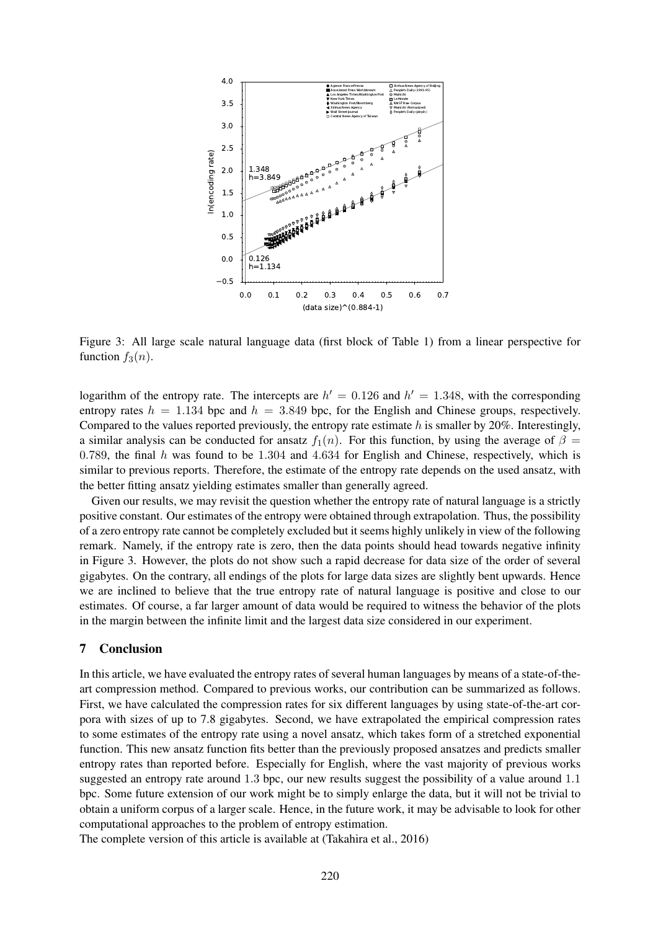

Figure 3: All large scale natural language data (first block of Table 1) from a linear perspective for function  $f_3(n)$ .

logarithm of the entropy rate. The intercepts are  $h' = 0.126$  and  $h' = 1.348$ , with the corresponding entropy rates  $h = 1.134$  bpc and  $h = 3.849$  bpc, for the English and Chinese groups, respectively. Compared to the values reported previously, the entropy rate estimate  $h$  is smaller by 20%. Interestingly, a similar analysis can be conducted for ansatz  $f_1(n)$ . For this function, by using the average of  $\beta =$ 0.789, the final  $h$  was found to be 1.304 and 4.634 for English and Chinese, respectively, which is similar to previous reports. Therefore, the estimate of the entropy rate depends on the used ansatz, with the better fitting ansatz yielding estimates smaller than generally agreed.

Given our results, we may revisit the question whether the entropy rate of natural language is a strictly positive constant. Our estimates of the entropy were obtained through extrapolation. Thus, the possibility of a zero entropy rate cannot be completely excluded but it seems highly unlikely in view of the following remark. Namely, if the entropy rate is zero, then the data points should head towards negative infinity in Figure 3. However, the plots do not show such a rapid decrease for data size of the order of several gigabytes. On the contrary, all endings of the plots for large data sizes are slightly bent upwards. Hence we are inclined to believe that the true entropy rate of natural language is positive and close to our estimates. Of course, a far larger amount of data would be required to witness the behavior of the plots in the margin between the infinite limit and the largest data size considered in our experiment.

# 7 Conclusion

In this article, we have evaluated the entropy rates of several human languages by means of a state-of-theart compression method. Compared to previous works, our contribution can be summarized as follows. First, we have calculated the compression rates for six different languages by using state-of-the-art corpora with sizes of up to 7.8 gigabytes. Second, we have extrapolated the empirical compression rates to some estimates of the entropy rate using a novel ansatz, which takes form of a stretched exponential function. This new ansatz function fits better than the previously proposed ansatzes and predicts smaller entropy rates than reported before. Especially for English, where the vast majority of previous works suggested an entropy rate around 1.3 bpc, our new results suggest the possibility of a value around 1.1 bpc. Some future extension of our work might be to simply enlarge the data, but it will not be trivial to obtain a uniform corpus of a larger scale. Hence, in the future work, it may be advisable to look for other computational approaches to the problem of entropy estimation.

The complete version of this article is available at (Takahira et al., 2016)